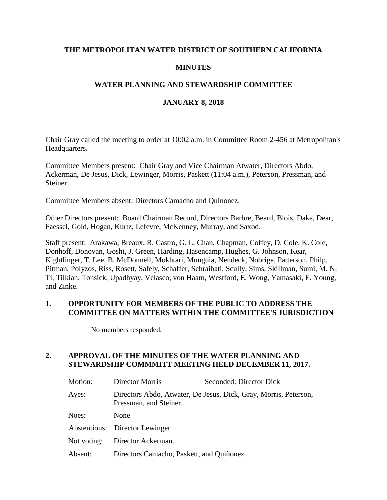## **THE METROPOLITAN WATER DISTRICT OF SOUTHERN CALIFORNIA**

## **MINUTES**

## **WATER PLANNING AND STEWARDSHIP COMMITTEE**

### **JANUARY 8, 2018**

Chair Gray called the meeting to order at 10:02 a.m. in Committee Room 2-456 at Metropolitan's Headquarters.

Committee Members present: Chair Gray and Vice Chairman Atwater, Directors Abdo, Ackerman, De Jesus, Dick, Lewinger, Morris, Paskett (11:04 a.m.), Peterson, Pressman, and Steiner.

Committee Members absent: Directors Camacho and Quinonez.

Other Directors present: Board Chairman Record, Directors Barbre, Beard, Blois, Dake, Dear, Faessel, Gold, Hogan, Kurtz, Lefevre, McKenney, Murray, and Saxod.

Staff present: Arakawa, Breaux, R. Castro, G. L. Chan, Chapman, Coffey, D. Cole, K. Cole, Donhoff, Donovan, Goshi, J. Green, Harding, Hasencamp, Hughes, G. Johnson, Kear, Kightlinger, T. Lee, B. McDonnell, Mokhtari, Munguia, Neudeck, Nobriga, Patterson, Philp, Pitman, Polyzos, Riss, Rosett, Safely, Schaffer, Schraibati, Scully, Sims, Skillman, Sumi, M. N. Ti, Tilkian, Tonsick, Upadhyay, Velasco, von Haam, Westford, E. Wong, Yamasaki, E. Young, and Zinke.

#### **1. OPPORTUNITY FOR MEMBERS OF THE PUBLIC TO ADDRESS THE COMMITTEE ON MATTERS WITHIN THE COMMITTEE'S JURISDICTION**

No members responded.

## **2. APPROVAL OF THE MINUTES OF THE WATER PLANNING AND STEWARDSHIP COMMMITT MEETING HELD DECEMBER 11, 2017.**

| Motion:     | Director Morris                           | Seconded: Director Dick                                          |
|-------------|-------------------------------------------|------------------------------------------------------------------|
| Ayes:       | Pressman, and Steiner.                    | Directors Abdo, Atwater, De Jesus, Dick, Gray, Morris, Peterson, |
| Noes:       | None                                      |                                                                  |
|             | Abstentions: Director Lewinger            |                                                                  |
| Not voting: | Director Ackerman.                        |                                                                  |
| Absent:     | Directors Camacho, Paskett, and Quiñonez. |                                                                  |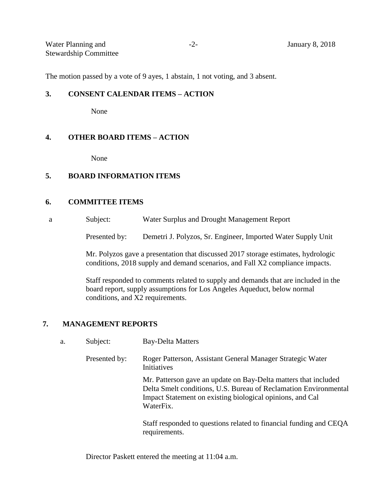| Water Planning and           | <b>January 8, 2018</b> |
|------------------------------|------------------------|
| <b>Stewardship Committee</b> |                        |

The motion passed by a vote of 9 ayes, 1 abstain, 1 not voting, and 3 absent.

#### **3. CONSENT CALENDAR ITEMS – ACTION**

None

#### **4. OTHER BOARD ITEMS – ACTION**

None

## **5. BOARD INFORMATION ITEMS**

#### **6. COMMITTEE ITEMS**

a Subject: Water Surplus and Drought Management Report

Presented by: Demetri J. Polyzos, Sr. Engineer, Imported Water Supply Unit

Mr. Polyzos gave a presentation that discussed 2017 storage estimates, hydrologic conditions, 2018 supply and demand scenarios, and Fall X2 compliance impacts.

Staff responded to comments related to supply and demands that are included in the board report, supply assumptions for Los Angeles Aqueduct, below normal conditions, and X2 requirements.

#### **7. MANAGEMENT REPORTS**

|  | а. | Subject: | Bay-Delta Matters |
|--|----|----------|-------------------|
|--|----|----------|-------------------|

| Presented by: | Roger Patterson, Assistant General Manager Strategic Water<br>Initiatives                                                                                                                                     |
|---------------|---------------------------------------------------------------------------------------------------------------------------------------------------------------------------------------------------------------|
|               | Mr. Patterson gave an update on Bay-Delta matters that included<br>Delta Smelt conditions, U.S. Bureau of Reclamation Environmental<br>Impact Statement on existing biological opinions, and Cal<br>WaterFix. |
|               | Staff responded to questions related to financial funding and CEQA                                                                                                                                            |

Staff responded to questions related to financial funding and CEQA requirements.

Director Paskett entered the meeting at 11:04 a.m.